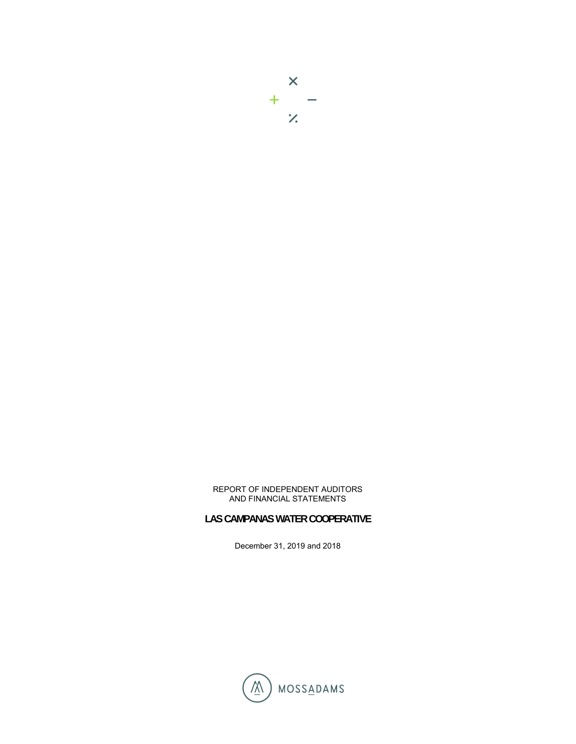

#### REPORT OF INDEPENDENT AUDITORS AND FINANCIAL STATEMENTS

# **LAS CAMPANAS WATER COOPERATIVE**

December 31, 2019 and 2018

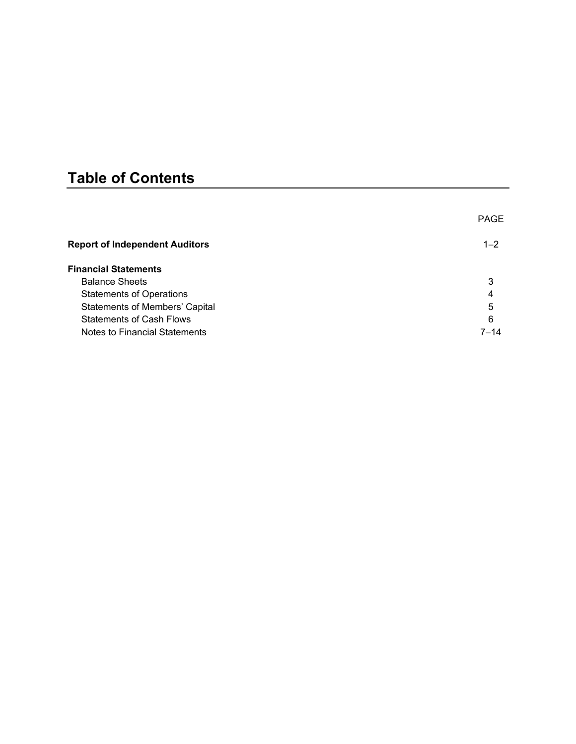# **Table of Contents**

|                                       | <b>PAGE</b> |
|---------------------------------------|-------------|
| <b>Report of Independent Auditors</b> | $1 - 2$     |
| <b>Financial Statements</b>           |             |
| <b>Balance Sheets</b>                 | 3           |
| <b>Statements of Operations</b>       | 4           |
| <b>Statements of Members' Capital</b> | 5           |
| <b>Statements of Cash Flows</b>       | 6           |
| <b>Notes to Financial Statements</b>  | $7 - 14$    |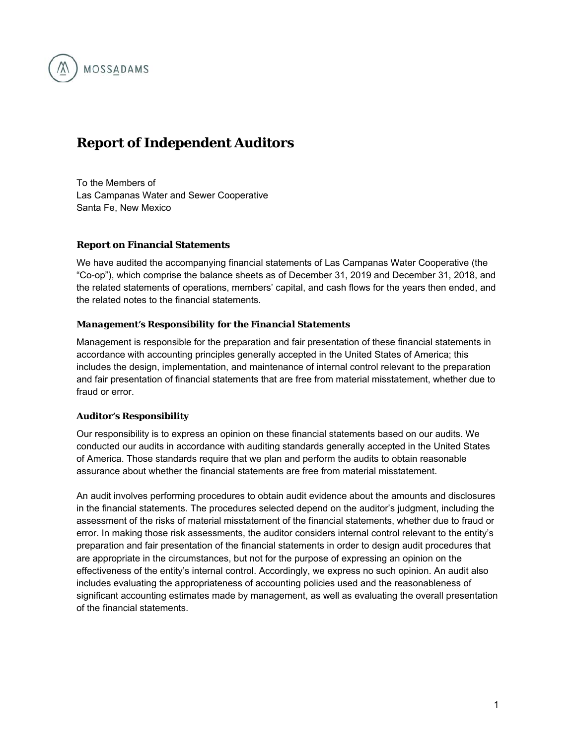

# **Report of Independent Auditors**

To the Members of Las Campanas Water and Sewer Cooperative Santa Fe, New Mexico

#### **Report on Financial Statements**

We have audited the accompanying financial statements of Las Campanas Water Cooperative (the "Co-op"), which comprise the balance sheets as of December 31, 2019 and December 31, 2018, and the related statements of operations, members' capital, and cash flows for the years then ended, and the related notes to the financial statements.

#### *Management's Responsibility for the Financial Statements*

Management is responsible for the preparation and fair presentation of these financial statements in accordance with accounting principles generally accepted in the United States of America; this includes the design, implementation, and maintenance of internal control relevant to the preparation and fair presentation of financial statements that are free from material misstatement, whether due to fraud or error.

#### *Auditor's Responsibility*

Our responsibility is to express an opinion on these financial statements based on our audits. We conducted our audits in accordance with auditing standards generally accepted in the United States of America. Those standards require that we plan and perform the audits to obtain reasonable assurance about whether the financial statements are free from material misstatement.

An audit involves performing procedures to obtain audit evidence about the amounts and disclosures in the financial statements. The procedures selected depend on the auditor's judgment, including the assessment of the risks of material misstatement of the financial statements, whether due to fraud or error. In making those risk assessments, the auditor considers internal control relevant to the entity's preparation and fair presentation of the financial statements in order to design audit procedures that are appropriate in the circumstances, but not for the purpose of expressing an opinion on the effectiveness of the entity's internal control. Accordingly, we express no such opinion. An audit also includes evaluating the appropriateness of accounting policies used and the reasonableness of significant accounting estimates made by management, as well as evaluating the overall presentation of the financial statements.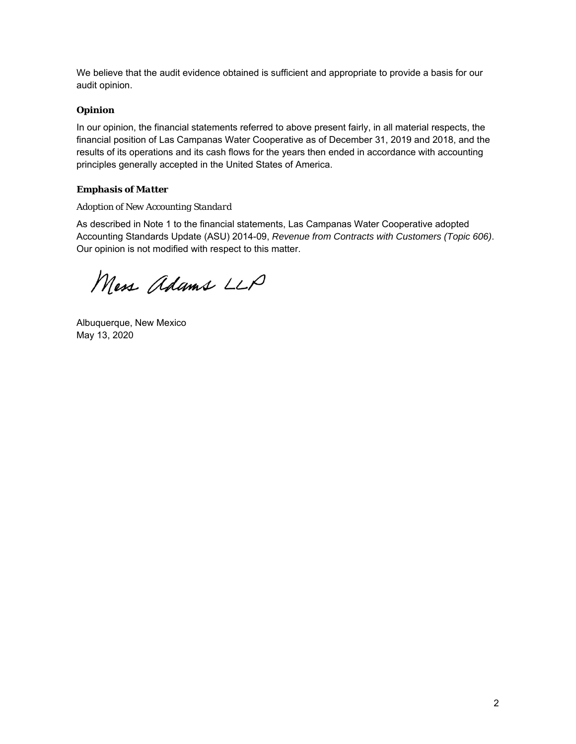We believe that the audit evidence obtained is sufficient and appropriate to provide a basis for our audit opinion.

#### *Opinion*

In our opinion, the financial statements referred to above present fairly, in all material respects, the financial position of Las Campanas Water Cooperative as of December 31, 2019 and 2018, and the results of its operations and its cash flows for the years then ended in accordance with accounting principles generally accepted in the United States of America.

#### *Emphasis of Matter*

#### *Adoption of New Accounting Standard*

As described in Note 1 to the financial statements, Las Campanas Water Cooperative adopted Accounting Standards Update (ASU) 2014-09, *Revenue from Contracts with Customers (Topic 606)*. Our opinion is not modified with respect to this matter.

Mess Adams LLP

Albuquerque, New Mexico May 13, 2020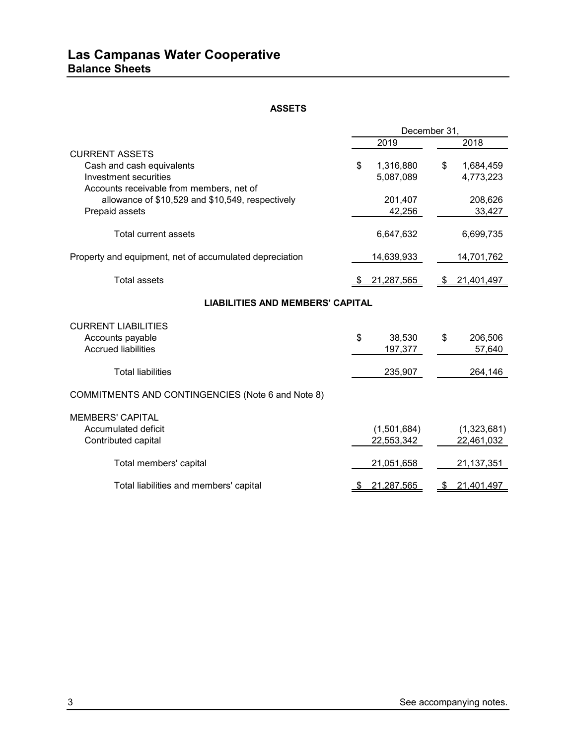# **Las Campanas Water Cooperative Balance Sheets**

#### **ASSETS**

|                                                         | December 31,    |                   |  |
|---------------------------------------------------------|-----------------|-------------------|--|
|                                                         | 2019            | 2018              |  |
| <b>CURRENT ASSETS</b>                                   |                 |                   |  |
| Cash and cash equivalents                               | \$<br>1,316,880 | \$<br>1,684,459   |  |
| Investment securities                                   | 5,087,089       | 4,773,223         |  |
| Accounts receivable from members, net of                |                 |                   |  |
| allowance of \$10,529 and \$10,549, respectively        | 201,407         | 208,626           |  |
| Prepaid assets                                          | 42,256          | 33,427            |  |
|                                                         |                 |                   |  |
| <b>Total current assets</b>                             | 6,647,632       | 6,699,735         |  |
|                                                         |                 |                   |  |
| Property and equipment, net of accumulated depreciation | 14,639,933      | 14,701,762        |  |
|                                                         |                 |                   |  |
| <b>Total assets</b>                                     | 21,287,565<br>P | 21,401,497<br>\$. |  |
| <b>LIABILITIES AND MEMBERS' CAPITAL</b>                 |                 |                   |  |
|                                                         |                 |                   |  |
| <b>CURRENT LIABILITIES</b>                              |                 |                   |  |
| Accounts payable                                        | \$<br>38,530    | 206,506<br>\$     |  |
| <b>Accrued liabilities</b>                              | 197,377         | 57,640            |  |
| <b>Total liabilities</b>                                | 235,907         | 264,146           |  |
|                                                         |                 |                   |  |
| COMMITMENTS AND CONTINGENCIES (Note 6 and Note 8)       |                 |                   |  |
| <b>MEMBERS' CAPITAL</b>                                 |                 |                   |  |
| Accumulated deficit                                     | (1,501,684)     | (1,323,681)       |  |
| Contributed capital                                     | 22,553,342      | 22,461,032        |  |
|                                                         |                 |                   |  |
| Total members' capital                                  | 21,051,658      | 21, 137, 351      |  |
| Total liabilities and members' capital                  | 21,287,565      | <u>21,401,497</u> |  |
|                                                         |                 |                   |  |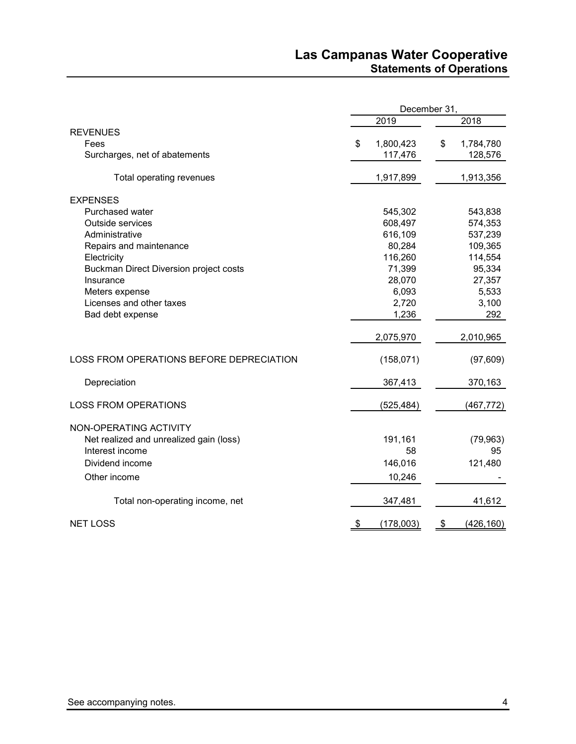|                                               | December 31,    |                   |  |  |
|-----------------------------------------------|-----------------|-------------------|--|--|
|                                               | 2019            | 2018              |  |  |
| <b>REVENUES</b>                               |                 |                   |  |  |
| Fees                                          | \$<br>1,800,423 | \$<br>1,784,780   |  |  |
| Surcharges, net of abatements                 | 117,476         | 128,576           |  |  |
| Total operating revenues                      | 1,917,899       | 1,913,356         |  |  |
| <b>EXPENSES</b>                               |                 |                   |  |  |
| Purchased water                               | 545,302         | 543,838           |  |  |
| Outside services                              | 608,497         | 574,353           |  |  |
| Administrative                                | 616,109         | 537,239           |  |  |
| Repairs and maintenance                       | 80,284          | 109,365           |  |  |
| Electricity                                   | 116,260         | 114,554           |  |  |
| <b>Buckman Direct Diversion project costs</b> | 71,399          | 95,334            |  |  |
| Insurance                                     | 28,070          | 27,357            |  |  |
| Meters expense                                | 6,093           | 5,533             |  |  |
| Licenses and other taxes                      | 2,720           | 3,100             |  |  |
| Bad debt expense                              | 1,236           | 292               |  |  |
|                                               | 2,075,970       | 2,010,965         |  |  |
| LOSS FROM OPERATIONS BEFORE DEPRECIATION      | (158, 071)      | (97, 609)         |  |  |
| Depreciation                                  | 367,413         | 370,163           |  |  |
| <b>LOSS FROM OPERATIONS</b>                   | (525, 484)      | (467, 772)        |  |  |
| NON-OPERATING ACTIVITY                        |                 |                   |  |  |
| Net realized and unrealized gain (loss)       | 191,161         | (79, 963)         |  |  |
| Interest income                               | 58              | 95                |  |  |
| Dividend income                               | 146,016         | 121,480           |  |  |
| Other income                                  | 10,246          |                   |  |  |
|                                               |                 |                   |  |  |
| Total non-operating income, net               | 347,481         | 41,612            |  |  |
| <b>NET LOSS</b>                               | (178,003)       | (426, 160)<br>-\$ |  |  |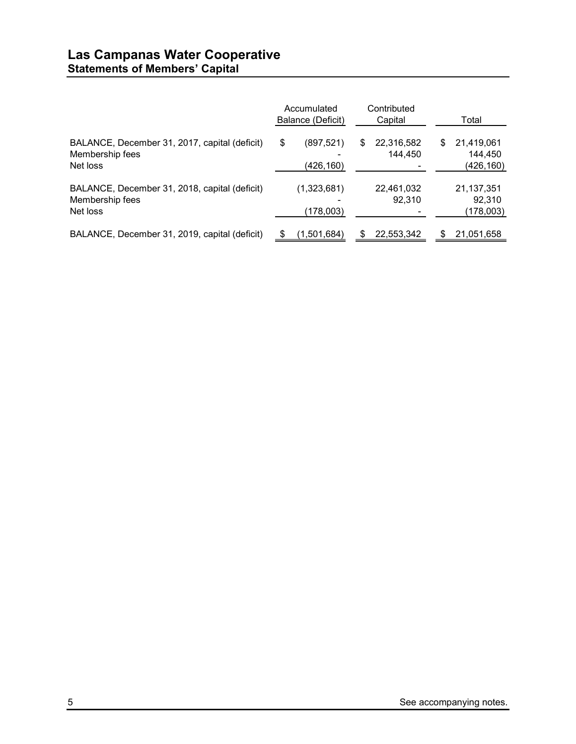# **Las Campanas Water Cooperative Statements of Members' Capital**

|                                                                              | Accumulated<br>Balance (Deficit) | Contributed<br>Capital      | Total                                     |
|------------------------------------------------------------------------------|----------------------------------|-----------------------------|-------------------------------------------|
| BALANCE, December 31, 2017, capital (deficit)<br>Membership fees<br>Net loss | \$<br>(897, 521)<br>(426,160)    | \$<br>22,316,582<br>144,450 | \$<br>21,419,061<br>144,450<br>(426, 160) |
| BALANCE, December 31, 2018, capital (deficit)<br>Membership fees<br>Net loss | (1,323,681)<br>(178,003)         | 22,461,032<br>92,310        | 21,137,351<br>92.310<br>(178,003)         |
| BALANCE, December 31, 2019, capital (deficit)                                | \$<br>(1,501,684)                | 22,553,342                  | 21,051,658                                |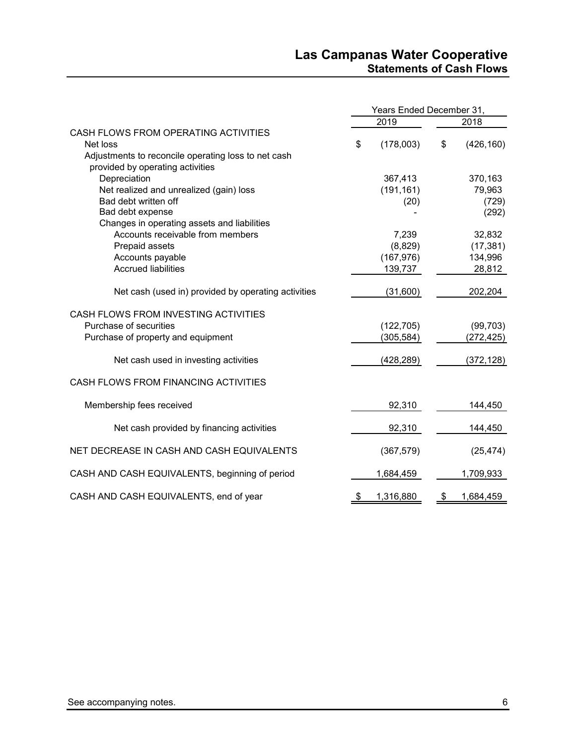|                                                     | Years Ended December 31, |                  |
|-----------------------------------------------------|--------------------------|------------------|
|                                                     | 2019                     | 2018             |
| CASH FLOWS FROM OPERATING ACTIVITIES                |                          |                  |
| Net loss                                            | \$<br>(178,003)          | \$<br>(426, 160) |
| Adjustments to reconcile operating loss to net cash |                          |                  |
| provided by operating activities                    |                          |                  |
| Depreciation                                        | 367,413                  | 370,163          |
| Net realized and unrealized (gain) loss             | (191, 161)               | 79,963           |
| Bad debt written off                                | (20)                     | (729)            |
| Bad debt expense                                    |                          | (292)            |
| Changes in operating assets and liabilities         |                          |                  |
| Accounts receivable from members                    | 7,239                    | 32,832           |
| Prepaid assets                                      | (8,829)                  | (17, 381)        |
| Accounts payable                                    | (167, 976)               | 134,996          |
| <b>Accrued liabilities</b>                          | 139,737                  | 28,812           |
|                                                     |                          |                  |
| Net cash (used in) provided by operating activities | (31,600)                 | 202,204          |
| CASH FLOWS FROM INVESTING ACTIVITIES                |                          |                  |
| Purchase of securities                              | (122, 705)               | (99, 703)        |
| Purchase of property and equipment                  | (305, 584)               | (272, 425)       |
|                                                     |                          |                  |
| Net cash used in investing activities               | (428, 289)               | (372, 128)       |
| CASH FLOWS FROM FINANCING ACTIVITIES                |                          |                  |
| Membership fees received                            | 92,310                   | 144,450          |
| Net cash provided by financing activities           | 92,310                   | 144,450          |
| NET DECREASE IN CASH AND CASH EQUIVALENTS           | (367, 579)               | (25, 474)        |
| CASH AND CASH EQUIVALENTS, beginning of period      | 1,684,459                | 1,709,933        |
| CASH AND CASH EQUIVALENTS, end of year              | \$<br>1,316,880          | \$<br>1,684,459  |
|                                                     |                          |                  |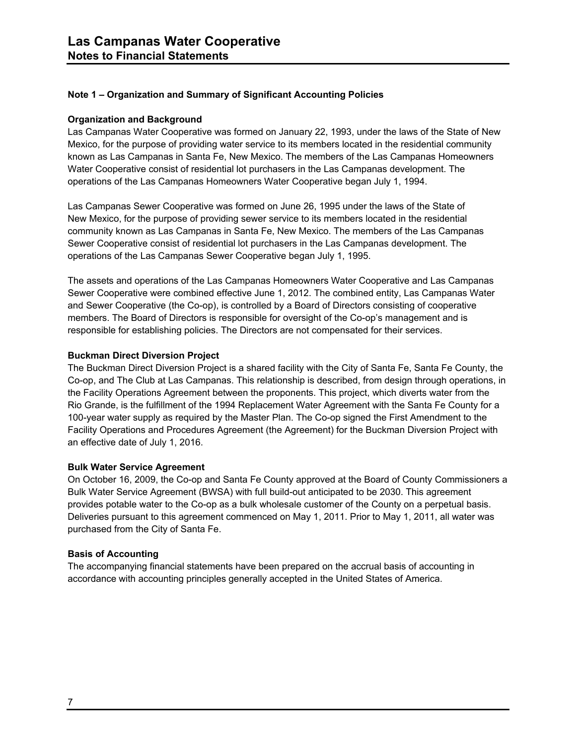#### **Note 1 – Organization and Summary of Significant Accounting Policies**

#### **Organization and Background**

Las Campanas Water Cooperative was formed on January 22, 1993, under the laws of the State of New Mexico, for the purpose of providing water service to its members located in the residential community known as Las Campanas in Santa Fe, New Mexico. The members of the Las Campanas Homeowners Water Cooperative consist of residential lot purchasers in the Las Campanas development. The operations of the Las Campanas Homeowners Water Cooperative began July 1, 1994.

Las Campanas Sewer Cooperative was formed on June 26, 1995 under the laws of the State of New Mexico, for the purpose of providing sewer service to its members located in the residential community known as Las Campanas in Santa Fe, New Mexico. The members of the Las Campanas Sewer Cooperative consist of residential lot purchasers in the Las Campanas development. The operations of the Las Campanas Sewer Cooperative began July 1, 1995.

The assets and operations of the Las Campanas Homeowners Water Cooperative and Las Campanas Sewer Cooperative were combined effective June 1, 2012. The combined entity, Las Campanas Water and Sewer Cooperative (the Co-op), is controlled by a Board of Directors consisting of cooperative members. The Board of Directors is responsible for oversight of the Co-op's management and is responsible for establishing policies. The Directors are not compensated for their services.

#### **Buckman Direct Diversion Project**

The Buckman Direct Diversion Project is a shared facility with the City of Santa Fe, Santa Fe County, the Co-op, and The Club at Las Campanas. This relationship is described, from design through operations, in the Facility Operations Agreement between the proponents. This project, which diverts water from the Rio Grande, is the fulfillment of the 1994 Replacement Water Agreement with the Santa Fe County for a 100-year water supply as required by the Master Plan. The Co-op signed the First Amendment to the Facility Operations and Procedures Agreement (the Agreement) for the Buckman Diversion Project with an effective date of July 1, 2016.

#### **Bulk Water Service Agreement**

On October 16, 2009, the Co-op and Santa Fe County approved at the Board of County Commissioners a Bulk Water Service Agreement (BWSA) with full build-out anticipated to be 2030. This agreement provides potable water to the Co-op as a bulk wholesale customer of the County on a perpetual basis. Deliveries pursuant to this agreement commenced on May 1, 2011. Prior to May 1, 2011, all water was purchased from the City of Santa Fe.

#### **Basis of Accounting**

The accompanying financial statements have been prepared on the accrual basis of accounting in accordance with accounting principles generally accepted in the United States of America.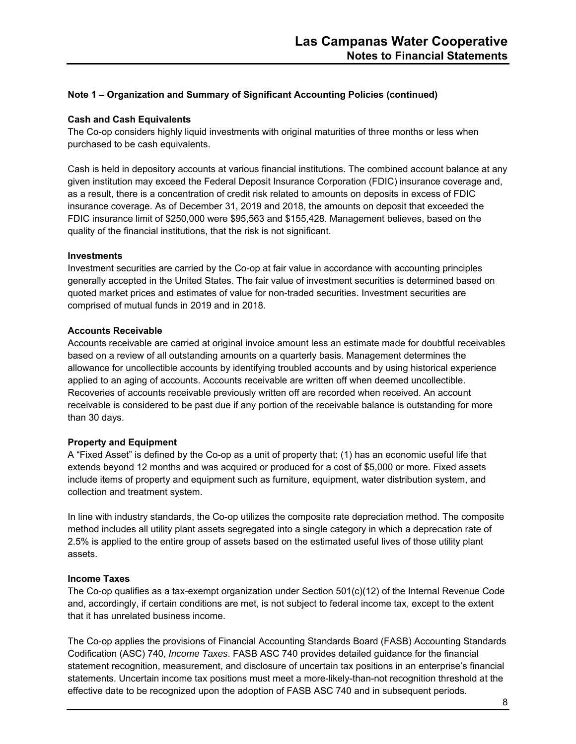#### **Note 1 – Organization and Summary of Significant Accounting Policies (continued)**

#### **Cash and Cash Equivalents**

The Co-op considers highly liquid investments with original maturities of three months or less when purchased to be cash equivalents.

Cash is held in depository accounts at various financial institutions. The combined account balance at any given institution may exceed the Federal Deposit Insurance Corporation (FDIC) insurance coverage and, as a result, there is a concentration of credit risk related to amounts on deposits in excess of FDIC insurance coverage. As of December 31, 2019 and 2018, the amounts on deposit that exceeded the FDIC insurance limit of \$250,000 were \$95,563 and \$155,428. Management believes, based on the quality of the financial institutions, that the risk is not significant.

#### **Investments**

Investment securities are carried by the Co-op at fair value in accordance with accounting principles generally accepted in the United States. The fair value of investment securities is determined based on quoted market prices and estimates of value for non-traded securities. Investment securities are comprised of mutual funds in 2019 and in 2018.

#### **Accounts Receivable**

Accounts receivable are carried at original invoice amount less an estimate made for doubtful receivables based on a review of all outstanding amounts on a quarterly basis. Management determines the allowance for uncollectible accounts by identifying troubled accounts and by using historical experience applied to an aging of accounts. Accounts receivable are written off when deemed uncollectible. Recoveries of accounts receivable previously written off are recorded when received. An account receivable is considered to be past due if any portion of the receivable balance is outstanding for more than 30 days.

#### **Property and Equipment**

A "Fixed Asset" is defined by the Co-op as a unit of property that: (1) has an economic useful life that extends beyond 12 months and was acquired or produced for a cost of \$5,000 or more. Fixed assets include items of property and equipment such as furniture, equipment, water distribution system, and collection and treatment system.

In line with industry standards, the Co-op utilizes the composite rate depreciation method. The composite method includes all utility plant assets segregated into a single category in which a deprecation rate of 2.5% is applied to the entire group of assets based on the estimated useful lives of those utility plant assets.

#### **Income Taxes**

The Co-op qualifies as a tax-exempt organization under Section 501(c)(12) of the Internal Revenue Code and, accordingly, if certain conditions are met, is not subject to federal income tax, except to the extent that it has unrelated business income.

The Co-op applies the provisions of Financial Accounting Standards Board (FASB) Accounting Standards Codification (ASC) 740, *Income Taxes*. FASB ASC 740 provides detailed guidance for the financial statement recognition, measurement, and disclosure of uncertain tax positions in an enterprise's financial statements. Uncertain income tax positions must meet a more-likely-than-not recognition threshold at the effective date to be recognized upon the adoption of FASB ASC 740 and in subsequent periods.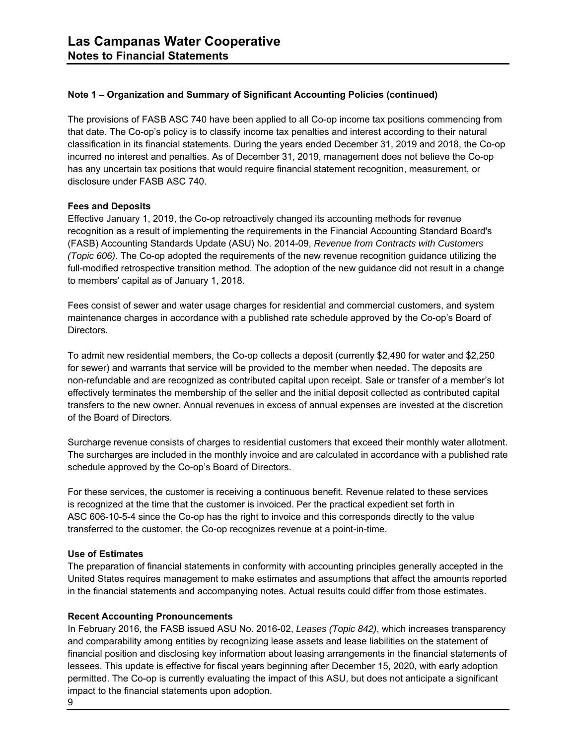#### **Note 1 – Organization and Summary of Significant Accounting Policies (continued)**

The provisions of FASB ASC 740 have been applied to all Co-op income tax positions commencing from that date. The Co-op's policy is to classify income tax penalties and interest according to their natural classification in its financial statements. During the years ended December 31, 2019 and 2018, the Co-op incurred no interest and penalties. As of December 31, 2019, management does not believe the Co-op has any uncertain tax positions that would require financial statement recognition, measurement, or disclosure under FASB ASC 740.

#### **Fees and Deposits**

Effective January 1, 2019, the Co-op retroactively changed its accounting methods for revenue recognition as a result of implementing the requirements in the Financial Accounting Standard Board's (FASB) Accounting Standards Update (ASU) No. 2014-09, *Revenue from Contracts with Customers (Topic 606)*. The Co-op adopted the requirements of the new revenue recognition guidance utilizing the full-modified retrospective transition method. The adoption of the new guidance did not result in a change to members' capital as of January 1, 2018.

Fees consist of sewer and water usage charges for residential and commercial customers, and system maintenance charges in accordance with a published rate schedule approved by the Co-op's Board of Directors.

To admit new residential members, the Co-op collects a deposit (currently \$2,490 for water and \$2,250 for sewer) and warrants that service will be provided to the member when needed. The deposits are non-refundable and are recognized as contributed capital upon receipt. Sale or transfer of a member's lot effectively terminates the membership of the seller and the initial deposit collected as contributed capital transfers to the new owner. Annual revenues in excess of annual expenses are invested at the discretion of the Board of Directors.

Surcharge revenue consists of charges to residential customers that exceed their monthly water allotment. The surcharges are included in the monthly invoice and are calculated in accordance with a published rate schedule approved by the Co-op's Board of Directors.

For these services, the customer is receiving a continuous benefit. Revenue related to these services is recognized at the time that the customer is invoiced. Per the practical expedient set forth in ASC 606-10-5-4 since the Co-op has the right to invoice and this corresponds directly to the value transferred to the customer, the Co-op recognizes revenue at a point-in-time.

#### **Use of Estimates**

The preparation of financial statements in conformity with accounting principles generally accepted in the United States requires management to make estimates and assumptions that affect the amounts reported in the financial statements and accompanying notes. Actual results could differ from those estimates.

#### **Recent Accounting Pronouncements**

In February 2016, the FASB issued ASU No. 2016-02, *Leases (Topic 842)*, which increases transparency and comparability among entities by recognizing lease assets and lease liabilities on the statement of financial position and disclosing key information about leasing arrangements in the financial statements of lessees. This update is effective for fiscal years beginning after December 15, 2020, with early adoption permitted. The Co-op is currently evaluating the impact of this ASU, but does not anticipate a significant impact to the financial statements upon adoption.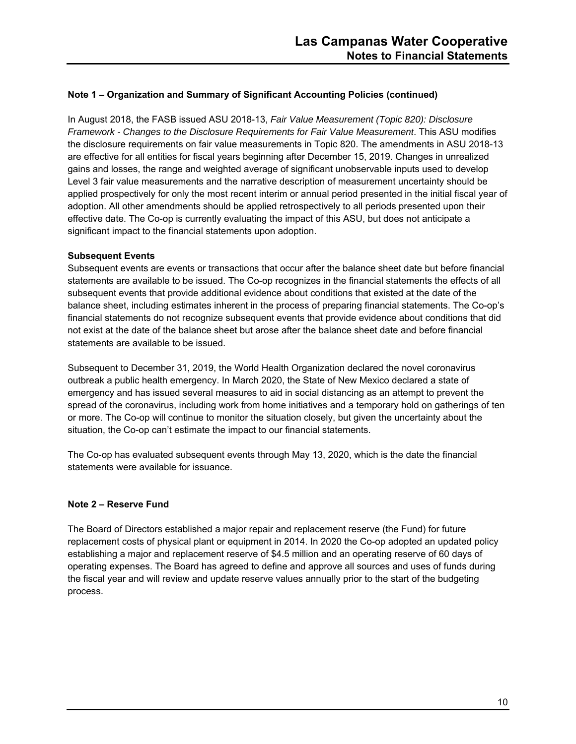#### **Note 1 – Organization and Summary of Significant Accounting Policies (continued)**

In August 2018, the FASB issued ASU 2018-13, *Fair Value Measurement (Topic 820): Disclosure Framework - Changes to the Disclosure Requirements for Fair Value Measurement*. This ASU modifies the disclosure requirements on fair value measurements in Topic 820. The amendments in ASU 2018-13 are effective for all entities for fiscal years beginning after December 15, 2019. Changes in unrealized gains and losses, the range and weighted average of significant unobservable inputs used to develop Level 3 fair value measurements and the narrative description of measurement uncertainty should be applied prospectively for only the most recent interim or annual period presented in the initial fiscal year of adoption. All other amendments should be applied retrospectively to all periods presented upon their effective date. The Co-op is currently evaluating the impact of this ASU, but does not anticipate a significant impact to the financial statements upon adoption.

#### **Subsequent Events**

Subsequent events are events or transactions that occur after the balance sheet date but before financial statements are available to be issued. The Co-op recognizes in the financial statements the effects of all subsequent events that provide additional evidence about conditions that existed at the date of the balance sheet, including estimates inherent in the process of preparing financial statements. The Co-op's financial statements do not recognize subsequent events that provide evidence about conditions that did not exist at the date of the balance sheet but arose after the balance sheet date and before financial statements are available to be issued.

Subsequent to December 31, 2019, the World Health Organization declared the novel coronavirus outbreak a public health emergency. In March 2020, the State of New Mexico declared a state of emergency and has issued several measures to aid in social distancing as an attempt to prevent the spread of the coronavirus, including work from home initiatives and a temporary hold on gatherings of ten or more. The Co-op will continue to monitor the situation closely, but given the uncertainty about the situation, the Co-op can't estimate the impact to our financial statements.

The Co-op has evaluated subsequent events through May 13, 2020, which is the date the financial statements were available for issuance.

#### **Note 2 – Reserve Fund**

The Board of Directors established a major repair and replacement reserve (the Fund) for future replacement costs of physical plant or equipment in 2014. In 2020 the Co-op adopted an updated policy establishing a major and replacement reserve of \$4.5 million and an operating reserve of 60 days of operating expenses. The Board has agreed to define and approve all sources and uses of funds during the fiscal year and will review and update reserve values annually prior to the start of the budgeting process.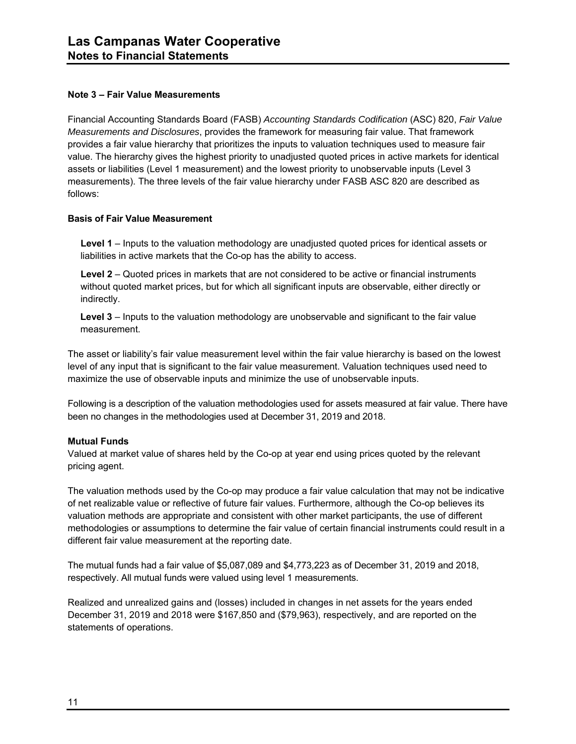#### **Note 3 – Fair Value Measurements**

Financial Accounting Standards Board (FASB) *Accounting Standards Codification* (ASC) 820, *Fair Value Measurements and Disclosures*, provides the framework for measuring fair value. That framework provides a fair value hierarchy that prioritizes the inputs to valuation techniques used to measure fair value. The hierarchy gives the highest priority to unadjusted quoted prices in active markets for identical assets or liabilities (Level 1 measurement) and the lowest priority to unobservable inputs (Level 3 measurements). The three levels of the fair value hierarchy under FASB ASC 820 are described as follows:

#### **Basis of Fair Value Measurement**

**Level 1** – Inputs to the valuation methodology are unadjusted quoted prices for identical assets or liabilities in active markets that the Co-op has the ability to access.

**Level 2** – Quoted prices in markets that are not considered to be active or financial instruments without quoted market prices, but for which all significant inputs are observable, either directly or indirectly.

**Level 3** – Inputs to the valuation methodology are unobservable and significant to the fair value measurement.

The asset or liability's fair value measurement level within the fair value hierarchy is based on the lowest level of any input that is significant to the fair value measurement. Valuation techniques used need to maximize the use of observable inputs and minimize the use of unobservable inputs.

Following is a description of the valuation methodologies used for assets measured at fair value. There have been no changes in the methodologies used at December 31, 2019 and 2018.

#### **Mutual Funds**

Valued at market value of shares held by the Co-op at year end using prices quoted by the relevant pricing agent.

The valuation methods used by the Co-op may produce a fair value calculation that may not be indicative of net realizable value or reflective of future fair values. Furthermore, although the Co-op believes its valuation methods are appropriate and consistent with other market participants, the use of different methodologies or assumptions to determine the fair value of certain financial instruments could result in a different fair value measurement at the reporting date.

The mutual funds had a fair value of \$5,087,089 and \$4,773,223 as of December 31, 2019 and 2018, respectively. All mutual funds were valued using level 1 measurements.

Realized and unrealized gains and (losses) included in changes in net assets for the years ended December 31, 2019 and 2018 were \$167,850 and (\$79,963), respectively, and are reported on the statements of operations.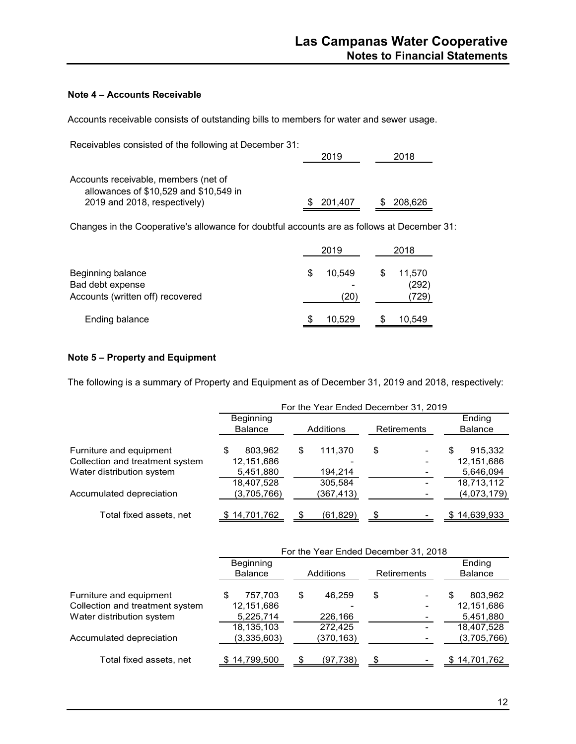#### **Note 4 – Accounts Receivable**

Accounts receivable consists of outstanding bills to members for water and sewer usage.

Receivables consisted of the following at December 31:

| Accounts receivable, members (net of<br>allowances of \$10,529 and \$10,549 in |                              | 2019       | 2018           |
|--------------------------------------------------------------------------------|------------------------------|------------|----------------|
|                                                                                | 2019 and 2018, respectively) | \$ 201.407 | 208,626<br>\$. |

Changes in the Cooperative's allowance for doubtful accounts are as follows at December 31:

|                                                                           | 2019           | 2018                     |
|---------------------------------------------------------------------------|----------------|--------------------------|
| Beginning balance<br>Bad debt expense<br>Accounts (written off) recovered | 10.549<br>(20) | 11,570<br>(292)<br>(729) |
| Ending balance                                                            | 10,529         | 10.549                   |

#### **Note 5 – Property and Equipment**

The following is a summary of Property and Equipment as of December 31, 2019 and 2018, respectively:

|                                 | For the Year Ended December 31, 2019 |               |             |                |
|---------------------------------|--------------------------------------|---------------|-------------|----------------|
|                                 | <b>Beginning</b>                     |               |             | Ending         |
|                                 | <b>Balance</b>                       | Additions     | Retirements | <b>Balance</b> |
| Furniture and equipment         | 803.962<br>\$                        | 111.370<br>\$ | \$          | 915.332<br>\$  |
| Collection and treatment system | 12,151,686                           |               |             | 12,151,686     |
| Water distribution system       | 5,451,880                            | 194,214       |             | 5,646,094      |
|                                 | 18,407,528                           | 305,584       |             | 18,713,112     |
| Accumulated depreciation        | (3,705,766)                          | (367,413)     |             | (4,073,179)    |
| Total fixed assets, net         | 14,701,762                           | (61, 829)     |             | 14,639,933     |

|                                 | For the Year Ended December 31, 2018 |                  |                    |                |
|---------------------------------|--------------------------------------|------------------|--------------------|----------------|
|                                 | Beginning                            |                  |                    | Ending         |
|                                 | <b>Balance</b>                       | <b>Additions</b> | <b>Retirements</b> | <b>Balance</b> |
| Furniture and equipment         | 757,703<br>S                         | 46.259<br>S      | \$                 | 803,962<br>S   |
| Collection and treatment system | 12,151,686                           |                  |                    | 12,151,686     |
| Water distribution system       | 5,225,714                            | 226,166          |                    | 5,451,880      |
|                                 | 18,135,103                           | 272,425          |                    | 18,407,528     |
| Accumulated depreciation        | (3,335,603)                          | (370, 163)       |                    | (3,705,766)    |
| Total fixed assets, net         | 14,799,500                           | (97, 738)        |                    | 14,701,762     |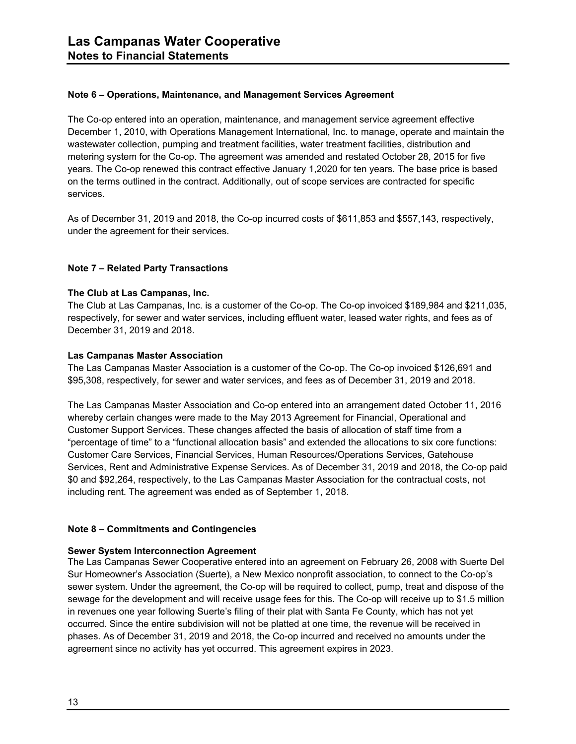#### **Note 6 – Operations, Maintenance, and Management Services Agreement**

The Co-op entered into an operation, maintenance, and management service agreement effective December 1, 2010, with Operations Management International, Inc. to manage, operate and maintain the wastewater collection, pumping and treatment facilities, water treatment facilities, distribution and metering system for the Co-op. The agreement was amended and restated October 28, 2015 for five years. The Co-op renewed this contract effective January 1,2020 for ten years. The base price is based on the terms outlined in the contract. Additionally, out of scope services are contracted for specific services.

As of December 31, 2019 and 2018, the Co-op incurred costs of \$611,853 and \$557,143, respectively, under the agreement for their services.

#### **Note 7 – Related Party Transactions**

#### **The Club at Las Campanas, Inc.**

The Club at Las Campanas, Inc. is a customer of the Co-op. The Co-op invoiced \$189,984 and \$211,035, respectively, for sewer and water services, including effluent water, leased water rights, and fees as of December 31, 2019 and 2018.

#### **Las Campanas Master Association**

The Las Campanas Master Association is a customer of the Co-op. The Co-op invoiced \$126,691 and \$95,308, respectively, for sewer and water services, and fees as of December 31, 2019 and 2018.

The Las Campanas Master Association and Co-op entered into an arrangement dated October 11, 2016 whereby certain changes were made to the May 2013 Agreement for Financial, Operational and Customer Support Services. These changes affected the basis of allocation of staff time from a "percentage of time" to a "functional allocation basis" and extended the allocations to six core functions: Customer Care Services, Financial Services, Human Resources/Operations Services, Gatehouse Services, Rent and Administrative Expense Services. As of December 31, 2019 and 2018, the Co-op paid \$0 and \$92,264, respectively, to the Las Campanas Master Association for the contractual costs, not including rent. The agreement was ended as of September 1, 2018.

#### **Note 8 – Commitments and Contingencies**

#### **Sewer System Interconnection Agreement**

The Las Campanas Sewer Cooperative entered into an agreement on February 26, 2008 with Suerte Del Sur Homeowner's Association (Suerte), a New Mexico nonprofit association, to connect to the Co-op's sewer system. Under the agreement, the Co-op will be required to collect, pump, treat and dispose of the sewage for the development and will receive usage fees for this. The Co-op will receive up to \$1.5 million in revenues one year following Suerte's filing of their plat with Santa Fe County, which has not yet occurred. Since the entire subdivision will not be platted at one time, the revenue will be received in phases. As of December 31, 2019 and 2018, the Co-op incurred and received no amounts under the agreement since no activity has yet occurred. This agreement expires in 2023.